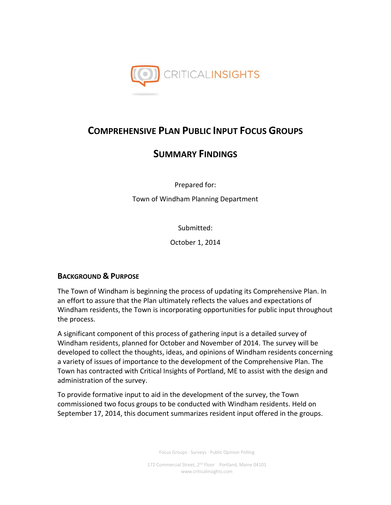

# **COMPREHENSIVE PLAN PUBLIC INPUT FOCUS GROUPS**

# **SUMMARY FINDINGS**

Prepared for:

Town of Windham Planning Department

Submitted:

October 1, 2014

## **BACKGROUND & PURPOSE**

The Town of Windham is beginning the process of updating its Comprehensive Plan. In an effort to assure that the Plan ultimately reflects the values and expectations of Windham residents, the Town is incorporating opportunities for public input throughout the process.

A significant component of this process of gathering input is a detailed survey of Windham residents, planned for October and November of 2014. The survey will be developed to collect the thoughts, ideas, and opinions of Windham residents concerning a variety of issues of importance to the development of the Comprehensive Plan. The Town has contracted with Critical Insights of Portland, ME to assist with the design and administration of the survey.

To provide formative input to aid in the development of the survey, the Town commissioned two focus groups to be conducted with Windham residents. Held on September 17, 2014, this document summarizes resident input offered in the groups.

Focus Groups · Surveys · Public Opinion Polling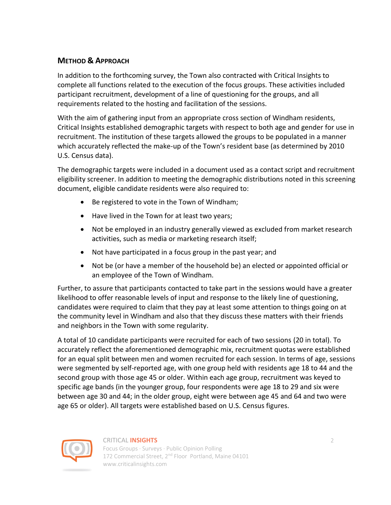## **METHOD & APPROACH**

In addition to the forthcoming survey, the Town also contracted with Critical Insights to complete all functions related to the execution of the focus groups. These activities included participant recruitment, development of a line of questioning for the groups, and all requirements related to the hosting and facilitation of the sessions.

With the aim of gathering input from an appropriate cross section of Windham residents, Critical Insights established demographic targets with respect to both age and gender for use in recruitment. The institution of these targets allowed the groups to be populated in a manner which accurately reflected the make-up of the Town's resident base (as determined by 2010 U.S. Census data).

The demographic targets were included in a document used as a contact script and recruitment eligibility screener. In addition to meeting the demographic distributions noted in this screening document, eligible candidate residents were also required to:

- Be registered to vote in the Town of Windham;
- Have lived in the Town for at least two years;
- Not be employed in an industry generally viewed as excluded from market research activities, such as media or marketing research itself;
- Not have participated in a focus group in the past year; and
- Not be (or have a member of the household be) an elected or appointed official or an employee of the Town of Windham.

Further, to assure that participants contacted to take part in the sessions would have a greater likelihood to offer reasonable levels of input and response to the likely line of questioning, candidates were required to claim that they pay at least some attention to things going on at the community level in Windham and also that they discuss these matters with their friends and neighbors in the Town with some regularity.

A total of 10 candidate participants were recruited for each of two sessions (20 in total). To accurately reflect the aforementioned demographic mix, recruitment quotas were established for an equal split between men and women recruited for each session. In terms of age, sessions were segmented by self-reported age, with one group held with residents age 18 to 44 and the second group with those age 45 or older. Within each age group, recruitment was keyed to specific age bands (in the younger group, four respondents were age 18 to 29 and six were between age 30 and 44; in the older group, eight were between age 45 and 64 and two were age 65 or older). All targets were established based on U.S. Census figures.



## CRITICAL **INSIGHTS** 2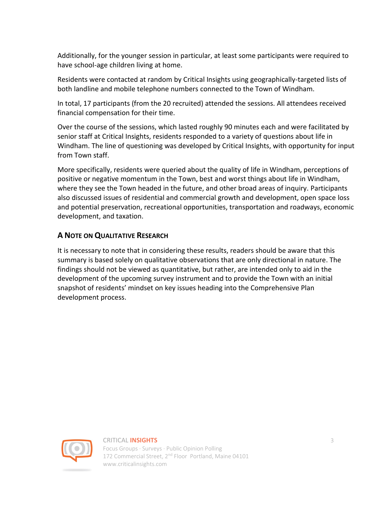Additionally, for the younger session in particular, at least some participants were required to have school-age children living at home.

Residents were contacted at random by Critical Insights using geographically-targeted lists of both landline and mobile telephone numbers connected to the Town of Windham.

In total, 17 participants (from the 20 recruited) attended the sessions. All attendees received financial compensation for their time.

Over the course of the sessions, which lasted roughly 90 minutes each and were facilitated by senior staff at Critical Insights, residents responded to a variety of questions about life in Windham. The line of questioning was developed by Critical Insights, with opportunity for input from Town staff.

More specifically, residents were queried about the quality of life in Windham, perceptions of positive or negative momentum in the Town, best and worst things about life in Windham, where they see the Town headed in the future, and other broad areas of inquiry. Participants also discussed issues of residential and commercial growth and development, open space loss and potential preservation, recreational opportunities, transportation and roadways, economic development, and taxation.

## **A NOTE ON QUALITATIVE RESEARCH**

It is necessary to note that in considering these results, readers should be aware that this summary is based solely on qualitative observations that are only directional in nature. The findings should not be viewed as quantitative, but rather, are intended only to aid in the development of the upcoming survey instrument and to provide the Town with an initial snapshot of residents' mindset on key issues heading into the Comprehensive Plan development process.



## CRITICAL **INSIGHTS** 3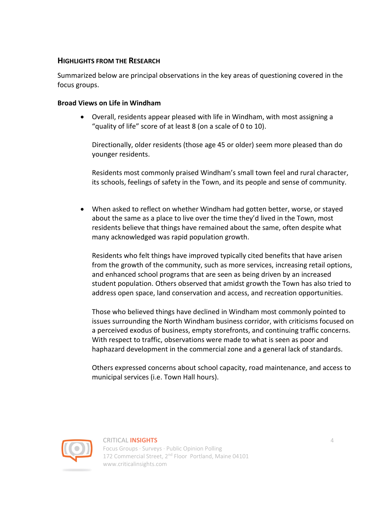## **HIGHLIGHTS FROM THE RESEARCH**

Summarized below are principal observations in the key areas of questioning covered in the focus groups.

## **Broad Views on Life in Windham**

 Overall, residents appear pleased with life in Windham, with most assigning a "quality of life" score of at least 8 (on a scale of 0 to 10).

Directionally, older residents (those age 45 or older) seem more pleased than do younger residents.

Residents most commonly praised Windham's small town feel and rural character, its schools, feelings of safety in the Town, and its people and sense of community.

 When asked to reflect on whether Windham had gotten better, worse, or stayed about the same as a place to live over the time they'd lived in the Town, most residents believe that things have remained about the same, often despite what many acknowledged was rapid population growth.

Residents who felt things have improved typically cited benefits that have arisen from the growth of the community, such as more services, increasing retail options, and enhanced school programs that are seen as being driven by an increased student population. Others observed that amidst growth the Town has also tried to address open space, land conservation and access, and recreation opportunities.

Those who believed things have declined in Windham most commonly pointed to issues surrounding the North Windham business corridor, with criticisms focused on a perceived exodus of business, empty storefronts, and continuing traffic concerns. With respect to traffic, observations were made to what is seen as poor and haphazard development in the commercial zone and a general lack of standards.

Others expressed concerns about school capacity, road maintenance, and access to municipal services (i.e. Town Hall hours).



#### CRITICAL **INSIGHTS** 4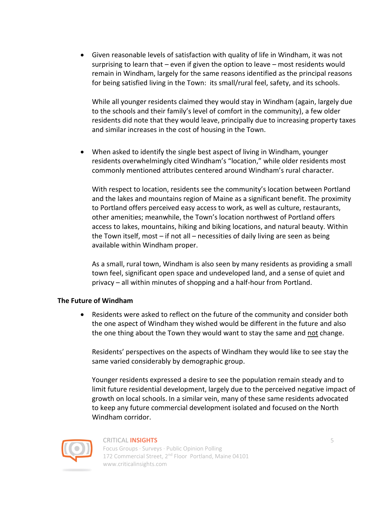Given reasonable levels of satisfaction with quality of life in Windham, it was not surprising to learn that – even if given the option to leave – most residents would remain in Windham, largely for the same reasons identified as the principal reasons for being satisfied living in the Town: its small/rural feel, safety, and its schools.

While all younger residents claimed they would stay in Windham (again, largely due to the schools and their family's level of comfort in the community), a few older residents did note that they would leave, principally due to increasing property taxes and similar increases in the cost of housing in the Town.

 When asked to identify the single best aspect of living in Windham, younger residents overwhelmingly cited Windham's "location," while older residents most commonly mentioned attributes centered around Windham's rural character.

With respect to location, residents see the community's location between Portland and the lakes and mountains region of Maine as a significant benefit. The proximity to Portland offers perceived easy access to work, as well as culture, restaurants, other amenities; meanwhile, the Town's location northwest of Portland offers access to lakes, mountains, hiking and biking locations, and natural beauty. Within the Town itself, most – if not all – necessities of daily living are seen as being available within Windham proper.

As a small, rural town, Windham is also seen by many residents as providing a small town feel, significant open space and undeveloped land, and a sense of quiet and privacy – all within minutes of shopping and a half-hour from Portland.

## **The Future of Windham**

 Residents were asked to reflect on the future of the community and consider both the one aspect of Windham they wished would be different in the future and also the one thing about the Town they would want to stay the same and not change.

Residents' perspectives on the aspects of Windham they would like to see stay the same varied considerably by demographic group.

Younger residents expressed a desire to see the population remain steady and to limit future residential development, largely due to the perceived negative impact of growth on local schools. In a similar vein, many of these same residents advocated to keep any future commercial development isolated and focused on the North Windham corridor.



#### CRITICAL **INSIGHTS** 5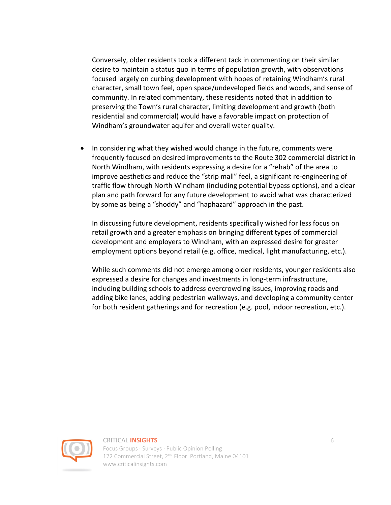Conversely, older residents took a different tack in commenting on their similar desire to maintain a status quo in terms of population growth, with observations focused largely on curbing development with hopes of retaining Windham's rural character, small town feel, open space/undeveloped fields and woods, and sense of community. In related commentary, these residents noted that in addition to preserving the Town's rural character, limiting development and growth (both residential and commercial) would have a favorable impact on protection of Windham's groundwater aquifer and overall water quality.

• In considering what they wished would change in the future, comments were frequently focused on desired improvements to the Route 302 commercial district in North Windham, with residents expressing a desire for a "rehab" of the area to improve aesthetics and reduce the "strip mall" feel, a significant re-engineering of traffic flow through North Windham (including potential bypass options), and a clear plan and path forward for any future development to avoid what was characterized by some as being a "shoddy" and "haphazard" approach in the past.

In discussing future development, residents specifically wished for less focus on retail growth and a greater emphasis on bringing different types of commercial development and employers to Windham, with an expressed desire for greater employment options beyond retail (e.g. office, medical, light manufacturing, etc.).

While such comments did not emerge among older residents, younger residents also expressed a desire for changes and investments in long-term infrastructure, including building schools to address overcrowding issues, improving roads and adding bike lanes, adding pedestrian walkways, and developing a community center for both resident gatherings and for recreation (e.g. pool, indoor recreation, etc.).



#### CRITICAL **INSIGHTS** 6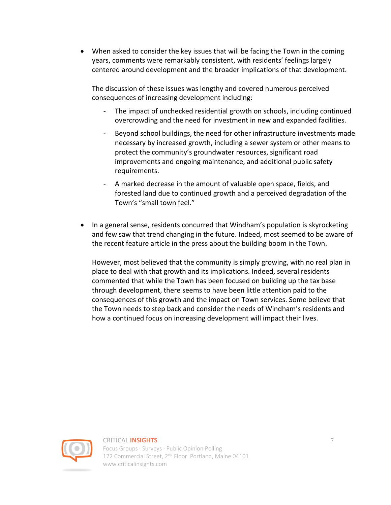When asked to consider the key issues that will be facing the Town in the coming years, comments were remarkably consistent, with residents' feelings largely centered around development and the broader implications of that development.

The discussion of these issues was lengthy and covered numerous perceived consequences of increasing development including:

- The impact of unchecked residential growth on schools, including continued overcrowding and the need for investment in new and expanded facilities.
- Beyond school buildings, the need for other infrastructure investments made necessary by increased growth, including a sewer system or other means to protect the community's groundwater resources, significant road improvements and ongoing maintenance, and additional public safety requirements.
- A marked decrease in the amount of valuable open space, fields, and forested land due to continued growth and a perceived degradation of the Town's "small town feel."
- In a general sense, residents concurred that Windham's population is skyrocketing and few saw that trend changing in the future. Indeed, most seemed to be aware of the recent feature article in the press about the building boom in the Town.

However, most believed that the community is simply growing, with no real plan in place to deal with that growth and its implications. Indeed, several residents commented that while the Town has been focused on building up the tax base through development, there seems to have been little attention paid to the consequences of this growth and the impact on Town services. Some believe that the Town needs to step back and consider the needs of Windham's residents and how a continued focus on increasing development will impact their lives.



## CRITICAL **INSIGHTS** 7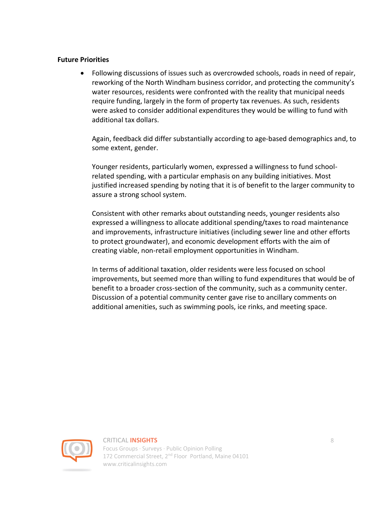## **Future Priorities**

 Following discussions of issues such as overcrowded schools, roads in need of repair, reworking of the North Windham business corridor, and protecting the community's water resources, residents were confronted with the reality that municipal needs require funding, largely in the form of property tax revenues. As such, residents were asked to consider additional expenditures they would be willing to fund with additional tax dollars.

Again, feedback did differ substantially according to age-based demographics and, to some extent, gender.

Younger residents, particularly women, expressed a willingness to fund schoolrelated spending, with a particular emphasis on any building initiatives. Most justified increased spending by noting that it is of benefit to the larger community to assure a strong school system.

Consistent with other remarks about outstanding needs, younger residents also expressed a willingness to allocate additional spending/taxes to road maintenance and improvements, infrastructure initiatives (including sewer line and other efforts to protect groundwater), and economic development efforts with the aim of creating viable, non-retail employment opportunities in Windham.

In terms of additional taxation, older residents were less focused on school improvements, but seemed more than willing to fund expenditures that would be of benefit to a broader cross-section of the community, such as a community center. Discussion of a potential community center gave rise to ancillary comments on additional amenities, such as swimming pools, ice rinks, and meeting space.



#### CRITICAL **INSIGHTS** 8